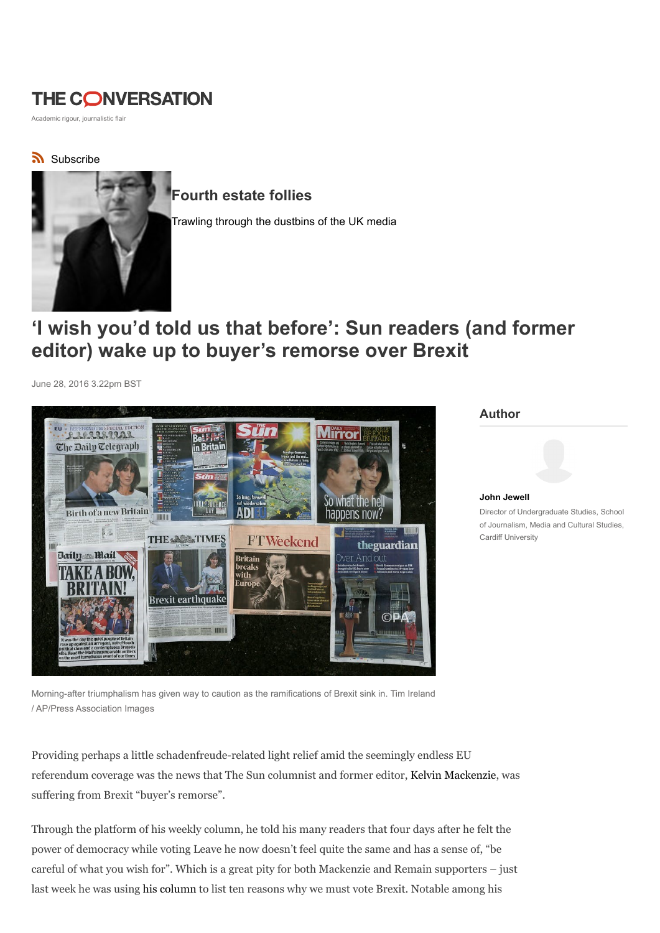## **THE CONVERSATION**

Academic rigour, journalistic flair

### Subscribe



## Fourth estate follies

Trawling through the dustbins of the UK media

# 'I wish you'd told us that before': Sun readers (and former editor) wake up to buyer's remorse over Brexit

June 28, 2016 3.22pm BST



Author



Morning-after triumphalism has given way to caution as the ramifications of Brexit sink in. Tim Ireland / AP/Press Association Images

Providing perhaps a little schadenfreude-related light relief amid the seemingly endless EU referendum coverage was the news that The Sun columnist and former editor, Kelvin Mackenzie, was suffering from Brexit "buyer's remorse".

Through the platform of his weekly column, he told his many readers that four days after he felt the power of democracy while voting Leave he now doesn't feel quite the same and has a sense of, "be careful of what you wish for". Which is a great pity for both Mackenzie and Remain supporters – just last week he was using his column to list ten reasons why we must vote Brexit. Notable among his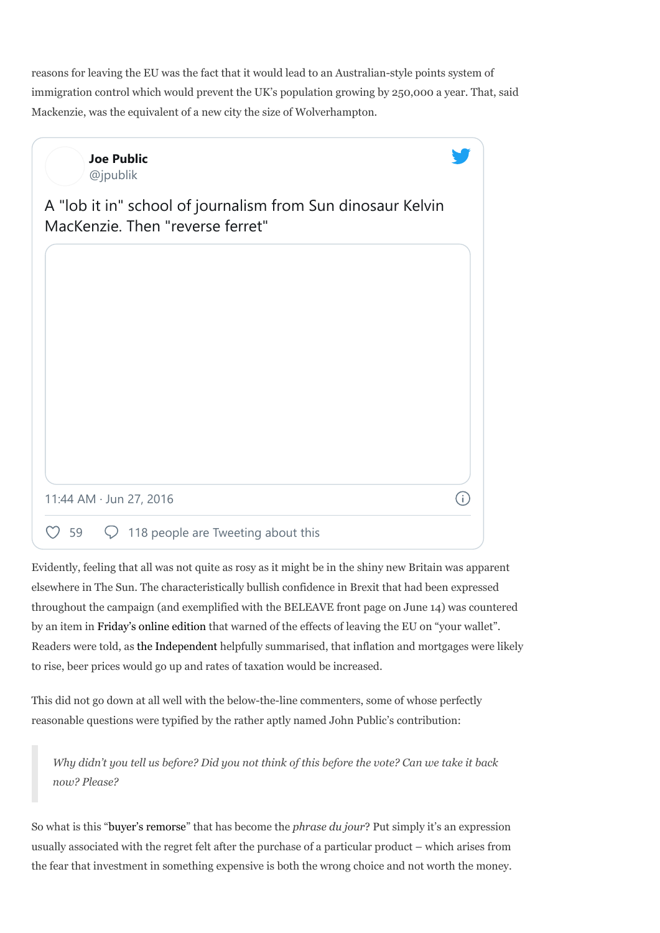reasons for leaving the EU was the fact that it would lead to an Australian-style points system of immigration control which would prevent the UK's population growing by 250,000 a year. That, said Mackenzie, was the equivalent of a new city the size of Wolverhampton.

| <b>Joe Public</b><br>@jpublik                                                                   |  |
|-------------------------------------------------------------------------------------------------|--|
| A "lob it in" school of journalism from Sun dinosaur Kelvin<br>MacKenzie. Then "reverse ferret" |  |
|                                                                                                 |  |
|                                                                                                 |  |
|                                                                                                 |  |
|                                                                                                 |  |
|                                                                                                 |  |
| 11:44 AM · Jun 27, 2016                                                                         |  |
| 118 people are Tweeting about this<br>59                                                        |  |

Evidently, feeling that all was not quite as rosy as it might be in the shiny new Britain was apparent elsewhere in The Sun. The characteristically bullish confidence in Brexit that had been expressed throughout the campaign (and exemplified with the BELEAVE front page on June 14) was countered by an item in Friday's online edition that warned of the effects of leaving the EU on "your wallet". Readers were told, as the Independent helpfully summarised, that inflation and mortgages were likely to rise, beer prices would go up and rates of taxation would be increased.

This did not go down at all well with the below-the-line commenters, some of whose perfectly reasonable questions were typified by the rather aptly named John Public's contribution:

Why didn't you tell us before? Did you not think of this before the vote? Can we take it back now? Please?

So what is this "buyer's remorse" that has become the *phrase du jour*? Put simply it's an expression usually associated with the regret felt after the purchase of a particular product – which arises from the fear that investment in something expensive is both the wrong choice and not worth the money.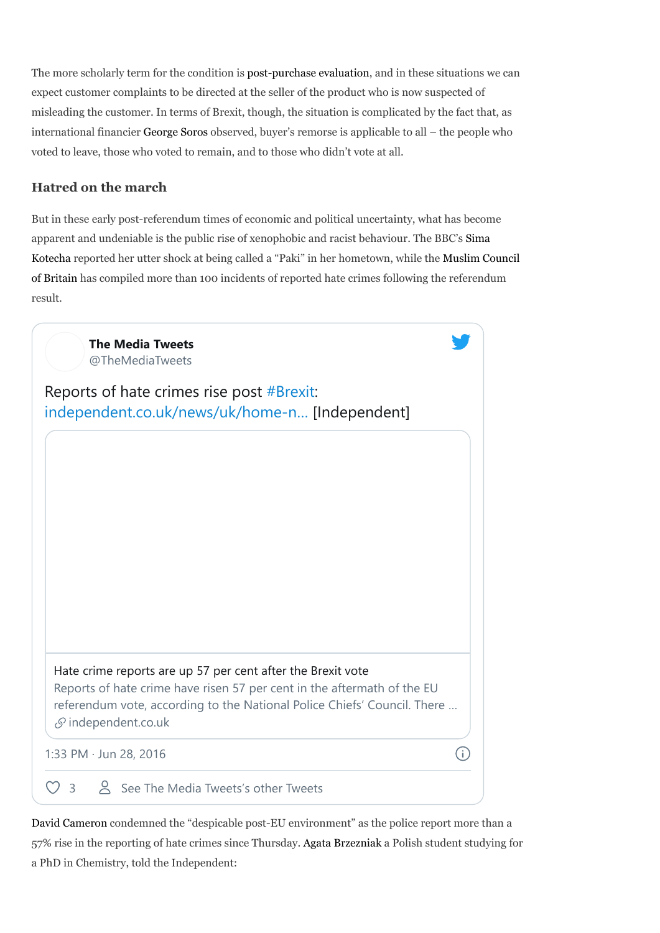The more scholarly term for the condition is post-purchase evaluation, and in these situations we can expect customer complaints to be directed at the seller of the product who is now suspected of misleading the customer. In terms of Brexit, though, the situation is complicated by the fact that, as international financier George Soros observed, buyer's remorse is applicable to all – the people who voted to leave, those who voted to remain, and to those who didn't vote at all.

#### Hatred on the march

But in these early post-referendum times of economic and political uncertainty, what has become apparent and undeniable is the public rise of xenophobic and racist behaviour. The BBC's Sima Kotecha reported her utter shock at being called a "Paki" in her hometown, while the Muslim Council of Britain has compiled more than 100 incidents of reported hate crimes following the referendum result.

| <b>The Media Tweets</b><br>@TheMediaTweets                                                                                                                                             |  |
|----------------------------------------------------------------------------------------------------------------------------------------------------------------------------------------|--|
| Reports of hate crimes rise post $#Brexit$ :<br>independent.co.uk/news/uk/home-n [Independent]                                                                                         |  |
|                                                                                                                                                                                        |  |
|                                                                                                                                                                                        |  |
|                                                                                                                                                                                        |  |
|                                                                                                                                                                                        |  |
| Hate crime reports are up 57 per cent after the Brexit vote                                                                                                                            |  |
| Reports of hate crime have risen 57 per cent in the aftermath of the EU<br>referendum vote, according to the National Police Chiefs' Council. There<br>$\mathcal{S}$ independent.co.uk |  |
| 1:33 PM · Jun 28, 2016                                                                                                                                                                 |  |
| See The Media Tweets's other Tweets<br>$\overline{3}$                                                                                                                                  |  |

David Cameron condemned the "despicable post-EU environment" as the police report more than a 57% rise in the reporting of hate crimes since Thursday. Agata Brzezniak a Polish student studying for a PhD in Chemistry, told the Independent: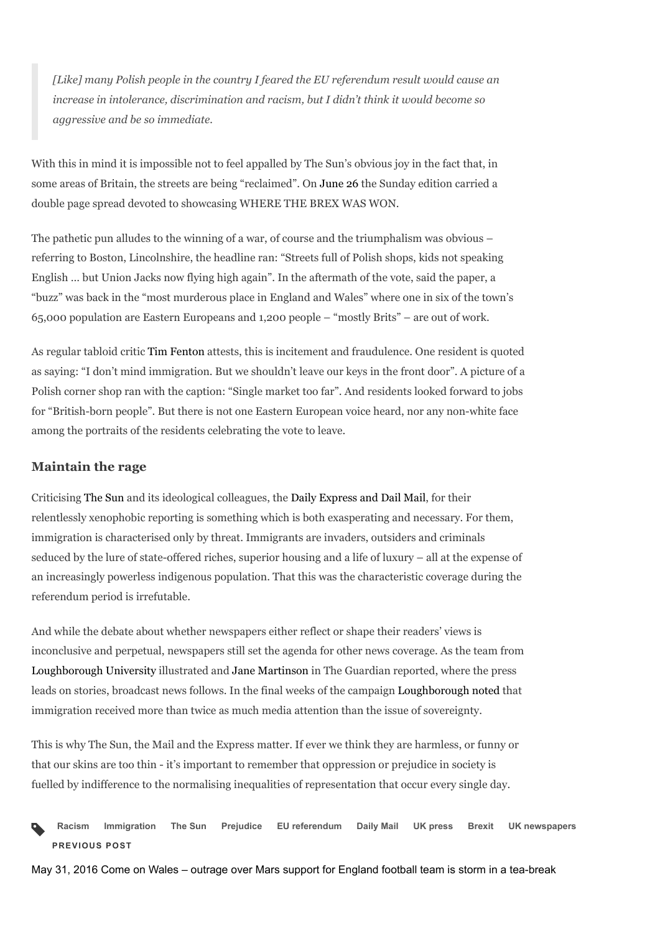[Like] many Polish people in the country I feared the EU referendum result would cause an increase in intolerance, discrimination and racism, but I didn't think it would become so aggressive and be so immediate.

With this in mind it is impossible not to feel appalled by The Sun's obvious joy in the fact that, in some areas of Britain, the streets are being "reclaimed". On June 26 the Sunday edition carried a double page spread devoted to showcasing WHERE THE BREX WAS WON.

The pathetic pun alludes to the winning of a war, of course and the triumphalism was obvious – referring to Boston, Lincolnshire, the headline ran: "Streets full of Polish shops, kids not speaking English … but Union Jacks now flying high again". In the aftermath of the vote, said the paper, a "buzz" was back in the "most murderous place in England and Wales" where one in six of the town's 65,000 population are Eastern Europeans and 1,200 people – "mostly Brits" – are out of work.

As regular tabloid critic Tim Fenton attests, this is incitement and fraudulence. One resident is quoted as saying: "I don't mind immigration. But we shouldn't leave our keys in the front door". A picture of a Polish corner shop ran with the caption: "Single market too far". And residents looked forward to jobs for "British-born people". But there is not one Eastern European voice heard, nor any non-white face among the portraits of the residents celebrating the vote to leave.

#### Maintain the rage

Criticising The Sun and its ideological colleagues, the Daily Express and Dail Mail, for their relentlessly xenophobic reporting is something which is both exasperating and necessary. For them, immigration is characterised only by threat. Immigrants are invaders, outsiders and criminals seduced by the lure of state-offered riches, superior housing and a life of luxury – all at the expense of an increasingly powerless indigenous population. That this was the characteristic coverage during the referendum period is irrefutable.

And while the debate about whether newspapers either reflect or shape their readers' views is inconclusive and perpetual, newspapers still set the agenda for other news coverage. As the team from Loughborough University illustrated and Jane Martinson in The Guardian reported, where the press leads on stories, broadcast news follows. In the final weeks of the campaign Loughborough noted that immigration received more than twice as much media attention than the issue of sovereignty.

This is why The Sun, the Mail and the Express matter. If ever we think they are harmless, or funny or that our skins are too thin - it's important to remember that oppression or prejudice in society is fuelled by indifference to the normalising inequalities of representation that occur every single day.

Racism Immigration The Sun Prejudice EU referendum Daily Mail UK press Brexit UK newspapers PREVIOUS POST  $\blacklozenge$ 

May 31, 2016 Come on Wales – outrage over Mars support for England football team is storm in a tea-break